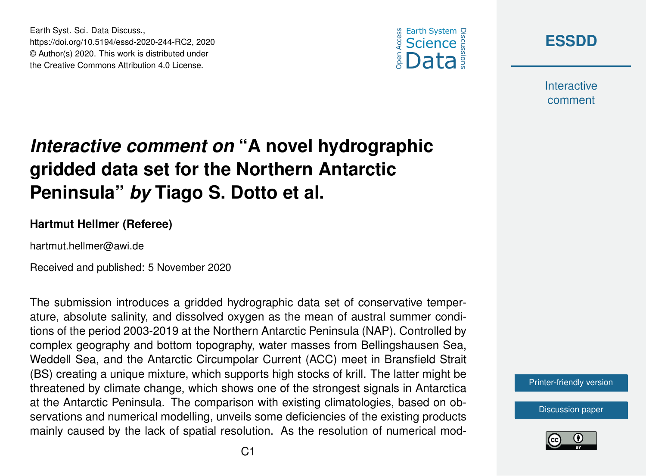





**Interactive** comment

## *Interactive comment on* **"A novel hydrographic gridded data set for the Northern Antarctic Peninsula"** *by* **Tiago S. Dotto et al.**

## **Hartmut Hellmer (Referee)**

hartmut.hellmer@awi.de

Received and published: 5 November 2020

The submission introduces a gridded hydrographic data set of conservative temperature, absolute salinity, and dissolved oxygen as the mean of austral summer conditions of the period 2003-2019 at the Northern Antarctic Peninsula (NAP). Controlled by complex geography and bottom topography, water masses from Bellingshausen Sea, Weddell Sea, and the Antarctic Circumpolar Current (ACC) meet in Bransfield Strait (BS) creating a unique mixture, which supports high stocks of krill. The latter might be threatened by climate change, which shows one of the strongest signals in Antarctica at the Antarctic Peninsula. The comparison with existing climatologies, based on observations and numerical modelling, unveils some deficiencies of the existing products mainly caused by the lack of spatial resolution. As the resolution of numerical mod-



[Discussion paper](https://essd.copernicus.org/preprints/essd-2020-244)

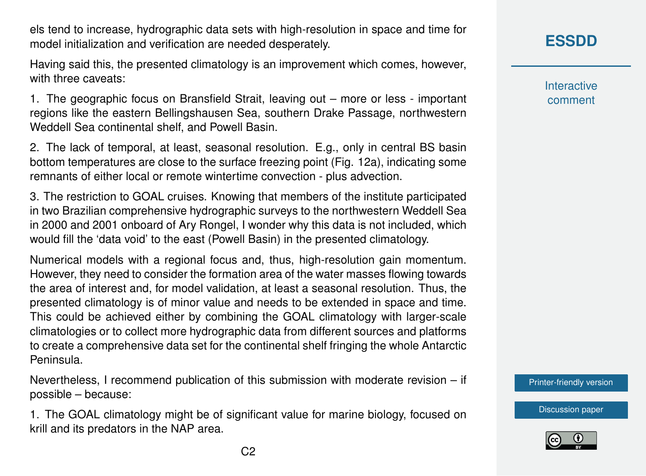els tend to increase, hydrographic data sets with high-resolution in space and time for model initialization and verification are needed desperately.

Having said this, the presented climatology is an improvement which comes, however, with three caveats:

1. The geographic focus on Bransfield Strait, leaving out – more or less - important regions like the eastern Bellingshausen Sea, southern Drake Passage, northwestern Weddell Sea continental shelf, and Powell Basin.

2. The lack of temporal, at least, seasonal resolution. E.g., only in central BS basin bottom temperatures are close to the surface freezing point (Fig. 12a), indicating some remnants of either local or remote wintertime convection - plus advection.

3. The restriction to GOAL cruises. Knowing that members of the institute participated in two Brazilian comprehensive hydrographic surveys to the northwestern Weddell Sea in 2000 and 2001 onboard of Ary Rongel, I wonder why this data is not included, which would fill the 'data void' to the east (Powell Basin) in the presented climatology.

Numerical models with a regional focus and, thus, high-resolution gain momentum. However, they need to consider the formation area of the water masses flowing towards the area of interest and, for model validation, at least a seasonal resolution. Thus, the presented climatology is of minor value and needs to be extended in space and time. This could be achieved either by combining the GOAL climatology with larger-scale climatologies or to collect more hydrographic data from different sources and platforms to create a comprehensive data set for the continental shelf fringing the whole Antarctic Peninsula.

Nevertheless, I recommend publication of this submission with moderate revision – if possible – because:

1. The GOAL climatology might be of significant value for marine biology, focused on krill and its predators in the NAP area.

**Interactive** comment

[Printer-friendly version](https://essd.copernicus.org/preprints/essd-2020-244/essd-2020-244-RC2-print.pdf)

[Discussion paper](https://essd.copernicus.org/preprints/essd-2020-244)